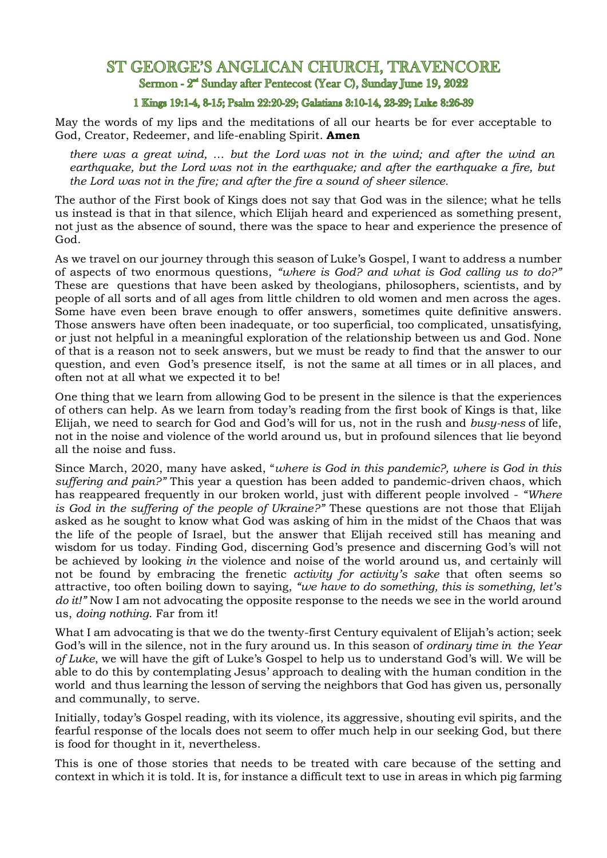## ST GEORGE'S ANGLICAN CHURCH. TRAVENCORE Sermon - 2<sup>nd</sup> Sunday after Pentecost (Year C), Sunday June 19, 2022

## 1 Kings 19:1-4, 8-15; Psalm 22:20-29; Galatians 3:10-14, 23-29; Luke 8:26-39

May the words of my lips and the meditations of all our hearts be for ever acceptable to God, Creator, Redeemer, and life-enabling Spirit. **Amen**

*there was a great wind, … but the Lord was not in the wind; and after the wind an earthquake, but the Lord was not in the earthquake; and after the earthquake a fire, but the Lord was not in the fire; and after the fire a sound of sheer silence.*

The author of the First book of Kings does not say that God was in the silence; what he tells us instead is that in that silence, which Elijah heard and experienced as something present, not just as the absence of sound, there was the space to hear and experience the presence of God.

As we travel on our journey through this season of Luke's Gospel, I want to address a number of aspects of two enormous questions, *"where is God? and what is God calling us to do?"* These are questions that have been asked by theologians, philosophers, scientists, and by people of all sorts and of all ages from little children to old women and men across the ages. Some have even been brave enough to offer answers, sometimes quite definitive answers. Those answers have often been inadequate, or too superficial, too complicated, unsatisfying, or just not helpful in a meaningful exploration of the relationship between us and God. None of that is a reason not to seek answers, but we must be ready to find that the answer to our question, and even God's presence itself, is not the same at all times or in all places, and often not at all what we expected it to be!

One thing that we learn from allowing God to be present in the silence is that the experiences of others can help. As we learn from today's reading from the first book of Kings is that, like Elijah, we need to search for God and God's will for us, not in the rush and *busy-ness* of life, not in the noise and violence of the world around us, but in profound silences that lie beyond all the noise and fuss.

Since March, 2020, many have asked, "*where is God in this pandemic?, where is God in this suffering and pain?"* This year a question has been added to pandemic-driven chaos, which has reappeared frequently in our broken world, just with different people involved - *"Where is God in the suffering of the people of Ukraine?"* These questions are not those that Elijah asked as he sought to know what God was asking of him in the midst of the Chaos that was the life of the people of Israel, but the answer that Elijah received still has meaning and wisdom for us today. Finding God, discerning God's presence and discerning God's will not be achieved by looking *in* the violence and noise of the world around us, and certainly will not be found by embracing the frenetic *activity for activity's sake* that often seems so attractive, too often boiling down to saying, *"we have to do something, this is something, let's do it!"* Now I am not advocating the opposite response to the needs we see in the world around us, *doing nothing*. Far from it!

What I am advocating is that we do the twenty-first Century equivalent of Elijah's action; seek God's will in the silence, not in the fury around us. In this season of *ordinary time in the Year of Luke*, we will have the gift of Luke's Gospel to help us to understand God's will. We will be able to do this by contemplating Jesus' approach to dealing with the human condition in the world and thus learning the lesson of serving the neighbors that God has given us, personally and communally, to serve.

Initially, today's Gospel reading, with its violence, its aggressive, shouting evil spirits, and the fearful response of the locals does not seem to offer much help in our seeking God, but there is food for thought in it, nevertheless.

This is one of those stories that needs to be treated with care because of the setting and context in which it is told. It is, for instance a difficult text to use in areas in which pig farming